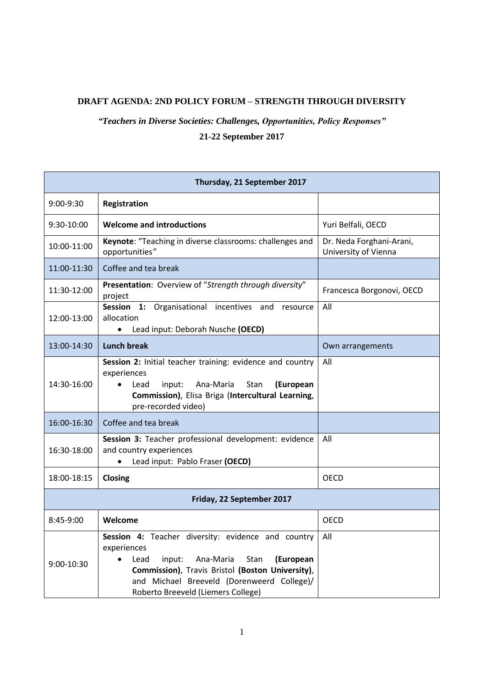## **DRAFT AGENDA: 2ND POLICY FORUM – STRENGTH THROUGH DIVERSITY**

## *"Teachers in Diverse Societies: Challenges, Opportunities, Policy Responses"* **21-22 September 2017**

| Thursday, 21 September 2017 |                                                                                                                                                                                                                                                               |                                                  |  |
|-----------------------------|---------------------------------------------------------------------------------------------------------------------------------------------------------------------------------------------------------------------------------------------------------------|--------------------------------------------------|--|
| $9:00-9:30$                 | Registration                                                                                                                                                                                                                                                  |                                                  |  |
| 9:30-10:00                  | <b>Welcome and introductions</b>                                                                                                                                                                                                                              | Yuri Belfali, OECD                               |  |
| 10:00-11:00                 | Keynote: "Teaching in diverse classrooms: challenges and<br>opportunities"                                                                                                                                                                                    | Dr. Neda Forghani-Arani,<br>University of Vienna |  |
| 11:00-11:30                 | Coffee and tea break                                                                                                                                                                                                                                          |                                                  |  |
| 11:30-12:00                 | Presentation: Overview of "Strength through diversity"<br>project                                                                                                                                                                                             | Francesca Borgonovi, OECD                        |  |
| 12:00-13:00                 | Session 1: Organisational incentives and<br>resource<br>allocation<br>Lead input: Deborah Nusche (OECD)<br>$\bullet$                                                                                                                                          | All                                              |  |
| 13:00-14:30                 | <b>Lunch break</b>                                                                                                                                                                                                                                            | Own arrangements                                 |  |
| 14:30-16:00                 | Session 2: Initial teacher training: evidence and country<br>experiences<br>Ana-Maria<br>input:<br><b>Stan</b><br>(European<br>Lead<br>Commission), Elisa Briga (Intercultural Learning,<br>pre-recorded video)                                               | All                                              |  |
| 16:00-16:30                 | Coffee and tea break                                                                                                                                                                                                                                          |                                                  |  |
| 16:30-18:00                 | Session 3: Teacher professional development: evidence<br>and country experiences<br>Lead input: Pablo Fraser (OECD)<br>$\bullet$                                                                                                                              | All                                              |  |
| 18:00-18:15                 | Closing                                                                                                                                                                                                                                                       | <b>OECD</b>                                      |  |
| Friday, 22 September 2017   |                                                                                                                                                                                                                                                               |                                                  |  |
| $8:45-9:00$                 | Welcome                                                                                                                                                                                                                                                       | OECD                                             |  |
| 9:00-10:30                  | Session 4: Teacher diversity: evidence and country<br>experiences<br>Ana-Maria<br>Lead<br>input:<br>Stan<br>(European<br>Commission), Travis Bristol (Boston University),<br>and Michael Breeveld (Dorenweerd College)/<br>Roberto Breeveld (Liemers College) | All                                              |  |